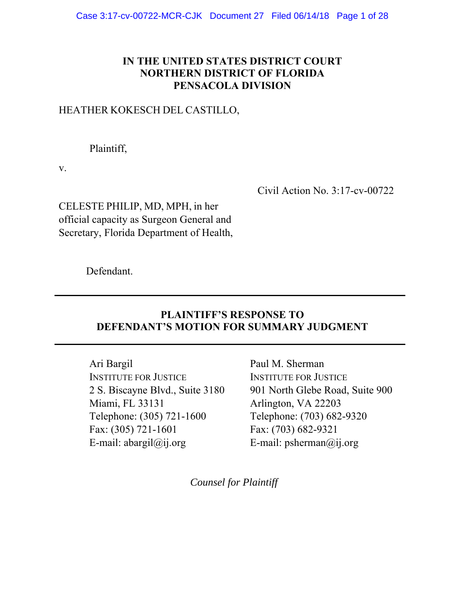## **IN THE UNITED STATES DISTRICT COURT NORTHERN DISTRICT OF FLORIDA PENSACOLA DIVISION**

# HEATHER KOKESCH DEL CASTILLO,

Plaintiff,

v.

Civil Action No. 3:17-cv-00722

CELESTE PHILIP, MD, MPH, in her official capacity as Surgeon General and Secretary, Florida Department of Health,

Defendant.

# **PLAINTIFF'S RESPONSE TO DEFENDANT'S MOTION FOR SUMMARY JUDGMENT**

**\_\_\_\_\_\_\_\_\_\_\_\_\_\_\_\_\_\_\_\_\_\_\_\_\_\_\_\_\_\_\_\_\_\_\_\_\_\_\_\_\_\_\_\_\_\_\_\_\_\_\_\_\_\_\_\_\_\_\_\_\_\_\_\_\_\_** 

**\_\_\_\_\_\_\_\_\_\_\_\_\_\_\_\_\_\_\_\_\_\_\_\_\_\_\_\_\_\_\_\_\_\_\_\_\_\_\_\_\_\_\_\_\_\_\_\_\_\_\_\_\_\_\_\_\_\_\_\_\_\_\_\_\_\_** 

Ari Bargil INSTITUTE FOR JUSTICE 2 S. Biscayne Blvd., Suite 3180 Miami, FL 33131 Telephone: (305) 721-1600 Fax: (305) 721-1601 E-mail: abargil $@$ ij.org

Paul M. Sherman INSTITUTE FOR JUSTICE 901 North Glebe Road, Suite 900 Arlington, VA 22203 Telephone: (703) 682-9320 Fax: (703) 682-9321 E-mail: psherman@ij.org

*Counsel for Plaintiff*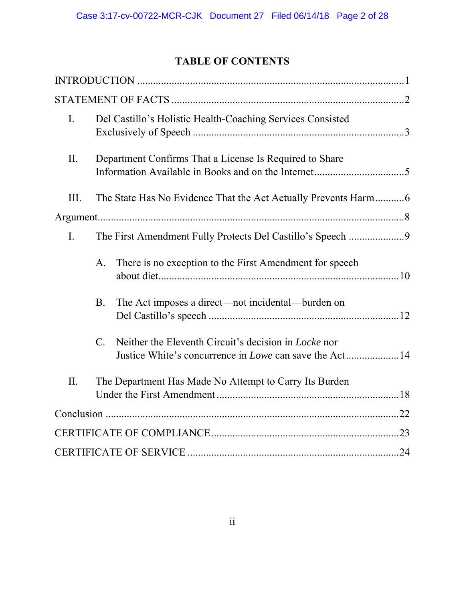# **TABLE OF CONTENTS**

| I.             | Del Castillo's Holistic Health-Coaching Services Consisted                                                                                      |  |
|----------------|-------------------------------------------------------------------------------------------------------------------------------------------------|--|
| II.            | Department Confirms That a License Is Required to Share                                                                                         |  |
| III.           |                                                                                                                                                 |  |
|                |                                                                                                                                                 |  |
| $\mathbf{I}$ . | The First Amendment Fully Protects Del Castillo's Speech 9                                                                                      |  |
|                | There is no exception to the First Amendment for speech<br>A.                                                                                   |  |
|                | <b>B.</b><br>The Act imposes a direct—not incidental—burden on                                                                                  |  |
|                | Neither the Eleventh Circuit's decision in <i>Locke</i> nor<br>$\mathcal{C}$ .<br>Justice White's concurrence in <i>Lowe</i> can save the Act14 |  |
| II.            | The Department Has Made No Attempt to Carry Its Burden                                                                                          |  |
|                |                                                                                                                                                 |  |
|                |                                                                                                                                                 |  |
|                |                                                                                                                                                 |  |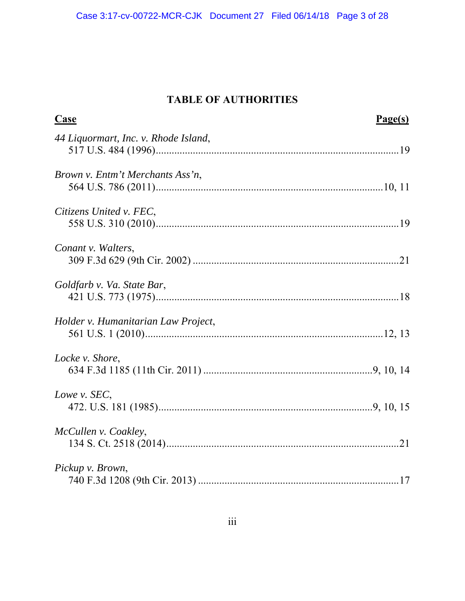# **TABLE OF AUTHORITIES**

| <b>Case</b>                          | Page(s) |
|--------------------------------------|---------|
| 44 Liquormart, Inc. v. Rhode Island, |         |
| Brown v. Entm't Merchants Ass'n,     |         |
| Citizens United v. FEC,              |         |
| Conant v. Walters,                   |         |
| Goldfarb v. Va. State Bar,           |         |
| Holder v. Humanitarian Law Project,  |         |
| Locke v. Shore,                      |         |
| Lowe v. SEC,                         |         |
| McCullen v. Coakley,                 |         |
| Pickup v. Brown,                     |         |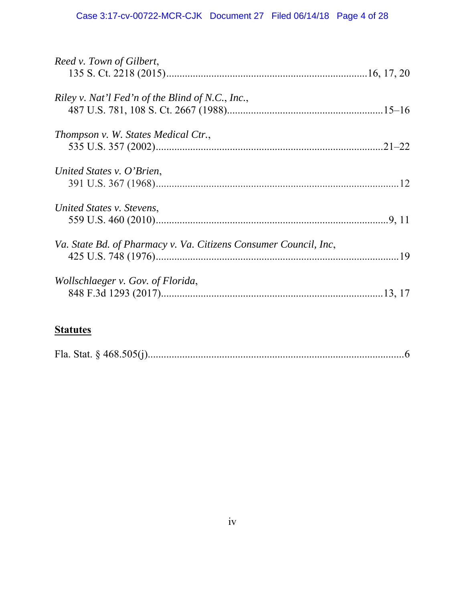# **Statutes**

|--|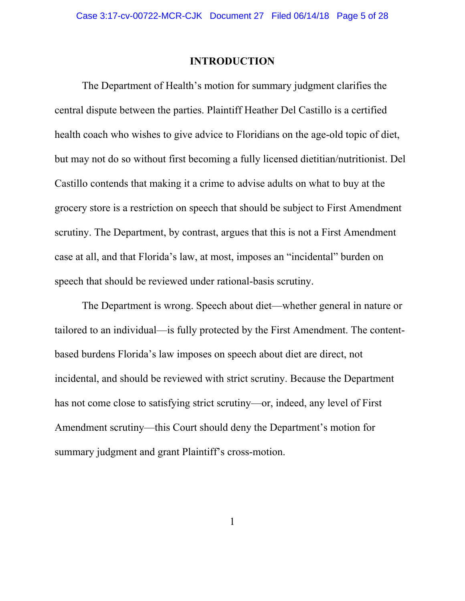### **INTRODUCTION**

The Department of Health's motion for summary judgment clarifies the central dispute between the parties. Plaintiff Heather Del Castillo is a certified health coach who wishes to give advice to Floridians on the age-old topic of diet, but may not do so without first becoming a fully licensed dietitian/nutritionist. Del Castillo contends that making it a crime to advise adults on what to buy at the grocery store is a restriction on speech that should be subject to First Amendment scrutiny. The Department, by contrast, argues that this is not a First Amendment case at all, and that Florida's law, at most, imposes an "incidental" burden on speech that should be reviewed under rational-basis scrutiny.

The Department is wrong. Speech about diet—whether general in nature or tailored to an individual—is fully protected by the First Amendment. The contentbased burdens Florida's law imposes on speech about diet are direct, not incidental, and should be reviewed with strict scrutiny. Because the Department has not come close to satisfying strict scrutiny—or, indeed, any level of First Amendment scrutiny—this Court should deny the Department's motion for summary judgment and grant Plaintiff's cross-motion.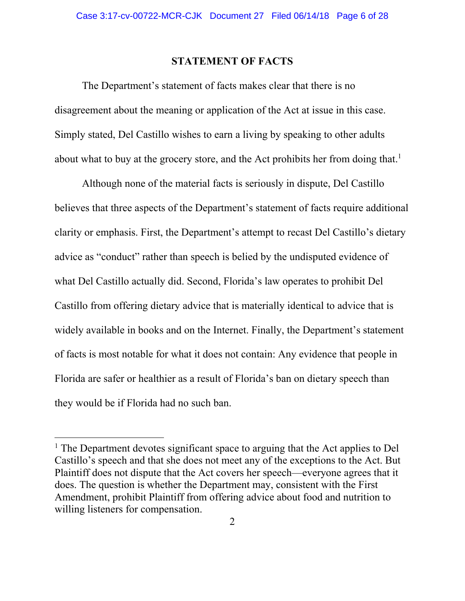### **STATEMENT OF FACTS**

The Department's statement of facts makes clear that there is no disagreement about the meaning or application of the Act at issue in this case. Simply stated, Del Castillo wishes to earn a living by speaking to other adults about what to buy at the grocery store, and the Act prohibits her from doing that.<sup>1</sup>

Although none of the material facts is seriously in dispute, Del Castillo believes that three aspects of the Department's statement of facts require additional clarity or emphasis. First, the Department's attempt to recast Del Castillo's dietary advice as "conduct" rather than speech is belied by the undisputed evidence of what Del Castillo actually did. Second, Florida's law operates to prohibit Del Castillo from offering dietary advice that is materially identical to advice that is widely available in books and on the Internet. Finally, the Department's statement of facts is most notable for what it does not contain: Any evidence that people in Florida are safer or healthier as a result of Florida's ban on dietary speech than they would be if Florida had no such ban.

<sup>&</sup>lt;sup>1</sup> The Department devotes significant space to arguing that the Act applies to Del Castillo's speech and that she does not meet any of the exceptions to the Act. But Plaintiff does not dispute that the Act covers her speech—everyone agrees that it does. The question is whether the Department may, consistent with the First Amendment, prohibit Plaintiff from offering advice about food and nutrition to willing listeners for compensation.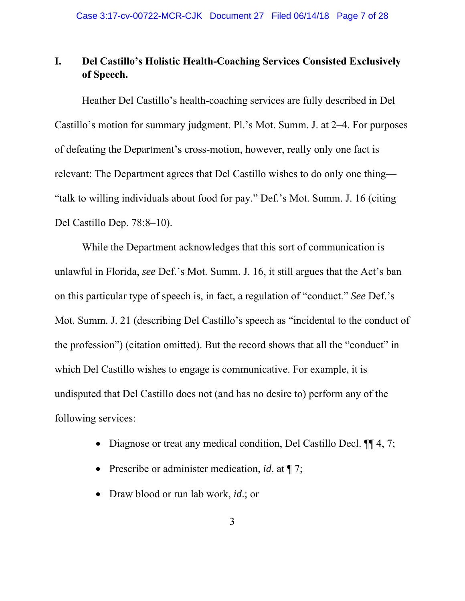# **I. Del Castillo's Holistic Health-Coaching Services Consisted Exclusively of Speech.**

Heather Del Castillo's health-coaching services are fully described in Del Castillo's motion for summary judgment. Pl.'s Mot. Summ. J. at 2–4. For purposes of defeating the Department's cross-motion, however, really only one fact is relevant: The Department agrees that Del Castillo wishes to do only one thing— "talk to willing individuals about food for pay." Def.'s Mot. Summ. J. 16 (citing Del Castillo Dep. 78:8–10).

While the Department acknowledges that this sort of communication is unlawful in Florida, *see* Def.'s Mot. Summ. J. 16, it still argues that the Act's ban on this particular type of speech is, in fact, a regulation of "conduct." *See* Def.'s Mot. Summ. J. 21 (describing Del Castillo's speech as "incidental to the conduct of the profession") (citation omitted). But the record shows that all the "conduct" in which Del Castillo wishes to engage is communicative. For example, it is undisputed that Del Castillo does not (and has no desire to) perform any of the following services:

- Diagnose or treat any medical condition, Del Castillo Decl. ¶ 4, 7;
- Prescribe or administer medication, *id*. at ¶ 7;
- Draw blood or run lab work, *id*.; or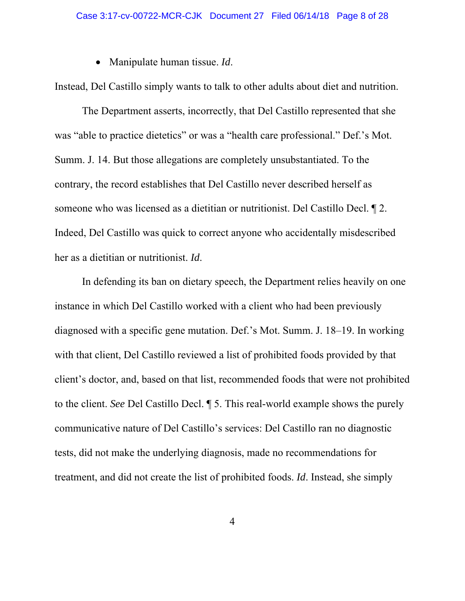• Manipulate human tissue. *Id*.

Instead, Del Castillo simply wants to talk to other adults about diet and nutrition.

The Department asserts, incorrectly, that Del Castillo represented that she was "able to practice dietetics" or was a "health care professional." Def.'s Mot. Summ. J. 14. But those allegations are completely unsubstantiated. To the contrary, the record establishes that Del Castillo never described herself as someone who was licensed as a dietitian or nutritionist. Del Castillo Decl. ¶ 2. Indeed, Del Castillo was quick to correct anyone who accidentally misdescribed her as a dietitian or nutritionist. *Id*.

In defending its ban on dietary speech, the Department relies heavily on one instance in which Del Castillo worked with a client who had been previously diagnosed with a specific gene mutation. Def.'s Mot. Summ. J. 18–19. In working with that client, Del Castillo reviewed a list of prohibited foods provided by that client's doctor, and, based on that list, recommended foods that were not prohibited to the client. *See* Del Castillo Decl. ¶ 5. This real-world example shows the purely communicative nature of Del Castillo's services: Del Castillo ran no diagnostic tests, did not make the underlying diagnosis, made no recommendations for treatment, and did not create the list of prohibited foods. *Id*. Instead, she simply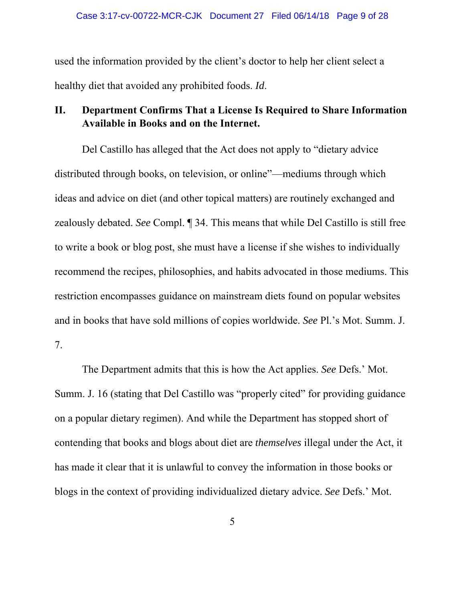used the information provided by the client's doctor to help her client select a healthy diet that avoided any prohibited foods. *Id*.

# **II. Department Confirms That a License Is Required to Share Information Available in Books and on the Internet.**

Del Castillo has alleged that the Act does not apply to "dietary advice distributed through books, on television, or online"—mediums through which ideas and advice on diet (and other topical matters) are routinely exchanged and zealously debated. *See* Compl. ¶ 34. This means that while Del Castillo is still free to write a book or blog post, she must have a license if she wishes to individually recommend the recipes, philosophies, and habits advocated in those mediums. This restriction encompasses guidance on mainstream diets found on popular websites and in books that have sold millions of copies worldwide. *See* Pl.'s Mot. Summ. J. 7.

The Department admits that this is how the Act applies. *See* Defs.' Mot. Summ. J. 16 (stating that Del Castillo was "properly cited" for providing guidance on a popular dietary regimen). And while the Department has stopped short of contending that books and blogs about diet are *themselves* illegal under the Act, it has made it clear that it is unlawful to convey the information in those books or blogs in the context of providing individualized dietary advice. *See* Defs.' Mot.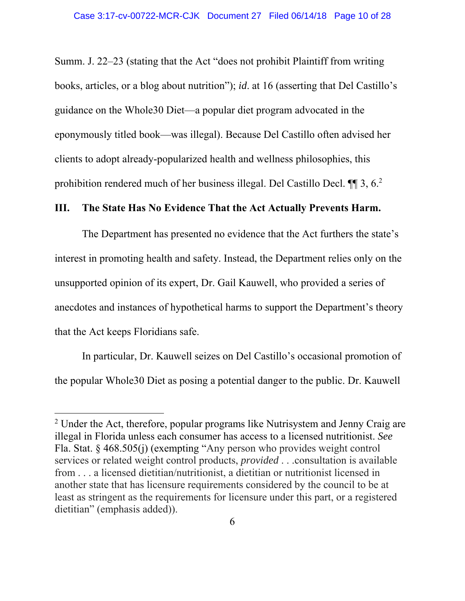Summ. J. 22–23 (stating that the Act "does not prohibit Plaintiff from writing books, articles, or a blog about nutrition"); *id*. at 16 (asserting that Del Castillo's guidance on the Whole30 Diet—a popular diet program advocated in the eponymously titled book—was illegal). Because Del Castillo often advised her clients to adopt already-popularized health and wellness philosophies, this prohibition rendered much of her business illegal. Del Castillo Decl. ¶¶ 3, 6.2

#### **III. The State Has No Evidence That the Act Actually Prevents Harm.**

The Department has presented no evidence that the Act furthers the state's interest in promoting health and safety. Instead, the Department relies only on the unsupported opinion of its expert, Dr. Gail Kauwell, who provided a series of anecdotes and instances of hypothetical harms to support the Department's theory that the Act keeps Floridians safe.

In particular, Dr. Kauwell seizes on Del Castillo's occasional promotion of the popular Whole30 Diet as posing a potential danger to the public. Dr. Kauwell

 $2$  Under the Act, therefore, popular programs like Nutrisystem and Jenny Craig are illegal in Florida unless each consumer has access to a licensed nutritionist. *See*  Fla. Stat. § 468.505(j) (exempting "Any person who provides weight control services or related weight control products, *provided* . . .consultation is available from . . . a licensed dietitian/nutritionist, a dietitian or nutritionist licensed in another state that has licensure requirements considered by the council to be at least as stringent as the requirements for licensure under this part, or a registered dietitian" (emphasis added)).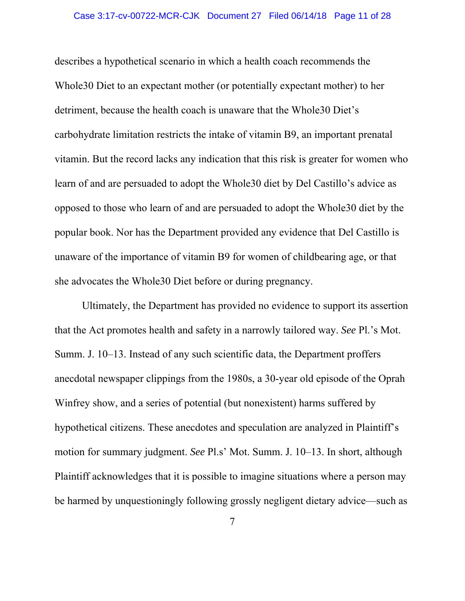describes a hypothetical scenario in which a health coach recommends the Whole30 Diet to an expectant mother (or potentially expectant mother) to her detriment, because the health coach is unaware that the Whole30 Diet's carbohydrate limitation restricts the intake of vitamin B9, an important prenatal vitamin. But the record lacks any indication that this risk is greater for women who learn of and are persuaded to adopt the Whole30 diet by Del Castillo's advice as opposed to those who learn of and are persuaded to adopt the Whole30 diet by the popular book. Nor has the Department provided any evidence that Del Castillo is unaware of the importance of vitamin B9 for women of childbearing age, or that she advocates the Whole30 Diet before or during pregnancy.

Ultimately, the Department has provided no evidence to support its assertion that the Act promotes health and safety in a narrowly tailored way. *See* Pl.'s Mot. Summ. J. 10–13. Instead of any such scientific data, the Department proffers anecdotal newspaper clippings from the 1980s, a 30-year old episode of the Oprah Winfrey show, and a series of potential (but nonexistent) harms suffered by hypothetical citizens. These anecdotes and speculation are analyzed in Plaintiff's motion for summary judgment. *See* Pl.s' Mot. Summ. J. 10–13. In short, although Plaintiff acknowledges that it is possible to imagine situations where a person may be harmed by unquestioningly following grossly negligent dietary advice—such as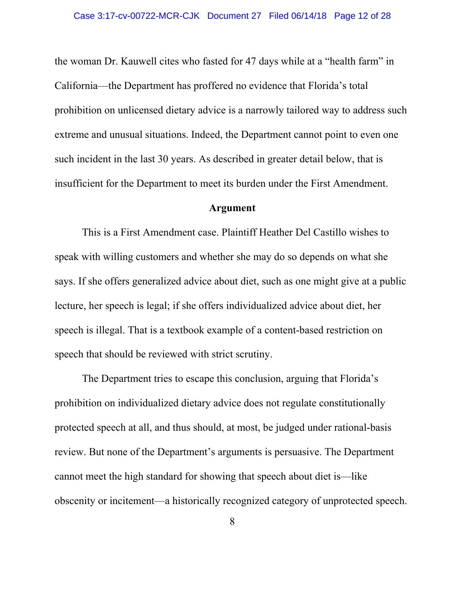the woman Dr. Kauwell cites who fasted for 47 days while at a "health farm" in California—the Department has proffered no evidence that Florida's total prohibition on unlicensed dietary advice is a narrowly tailored way to address such extreme and unusual situations. Indeed, the Department cannot point to even one such incident in the last 30 years. As described in greater detail below, that is insufficient for the Department to meet its burden under the First Amendment.

#### **Argument**

This is a First Amendment case. Plaintiff Heather Del Castillo wishes to speak with willing customers and whether she may do so depends on what she says. If she offers generalized advice about diet, such as one might give at a public lecture, her speech is legal; if she offers individualized advice about diet, her speech is illegal. That is a textbook example of a content-based restriction on speech that should be reviewed with strict scrutiny.

The Department tries to escape this conclusion, arguing that Florida's prohibition on individualized dietary advice does not regulate constitutionally protected speech at all, and thus should, at most, be judged under rational-basis review. But none of the Department's arguments is persuasive. The Department cannot meet the high standard for showing that speech about diet is—like obscenity or incitement—a historically recognized category of unprotected speech.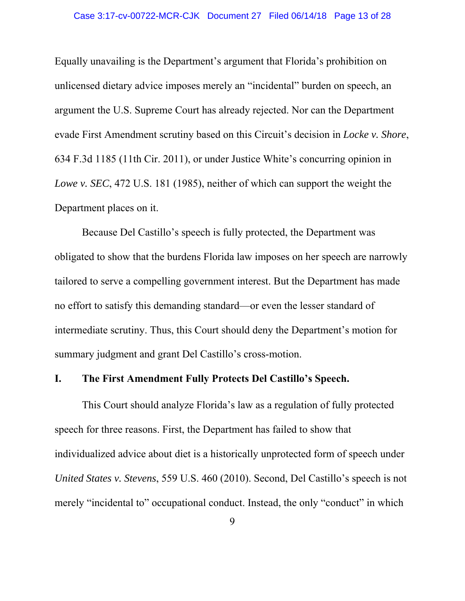Equally unavailing is the Department's argument that Florida's prohibition on unlicensed dietary advice imposes merely an "incidental" burden on speech, an argument the U.S. Supreme Court has already rejected. Nor can the Department evade First Amendment scrutiny based on this Circuit's decision in *Locke v. Shore*, 634 F.3d 1185 (11th Cir. 2011), or under Justice White's concurring opinion in *Lowe v. SEC*, 472 U.S. 181 (1985), neither of which can support the weight the Department places on it.

Because Del Castillo's speech is fully protected, the Department was obligated to show that the burdens Florida law imposes on her speech are narrowly tailored to serve a compelling government interest. But the Department has made no effort to satisfy this demanding standard—or even the lesser standard of intermediate scrutiny. Thus, this Court should deny the Department's motion for summary judgment and grant Del Castillo's cross-motion.

### **I. The First Amendment Fully Protects Del Castillo's Speech.**

This Court should analyze Florida's law as a regulation of fully protected speech for three reasons. First, the Department has failed to show that individualized advice about diet is a historically unprotected form of speech under *United States v. Stevens*, 559 U.S. 460 (2010). Second, Del Castillo's speech is not merely "incidental to" occupational conduct. Instead, the only "conduct" in which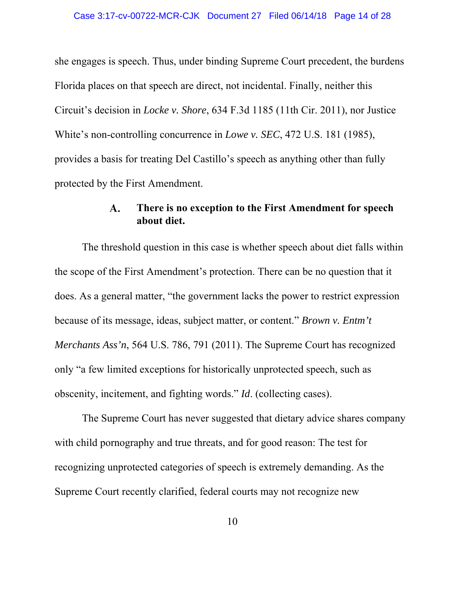she engages is speech. Thus, under binding Supreme Court precedent, the burdens Florida places on that speech are direct, not incidental. Finally, neither this Circuit's decision in *Locke v. Shore*, 634 F.3d 1185 (11th Cir. 2011), nor Justice White's non-controlling concurrence in *Lowe v. SEC*, 472 U.S. 181 (1985), provides a basis for treating Del Castillo's speech as anything other than fully protected by the First Amendment.

#### **There is no exception to the First Amendment for speech A. about diet.**

The threshold question in this case is whether speech about diet falls within the scope of the First Amendment's protection. There can be no question that it does. As a general matter, "the government lacks the power to restrict expression because of its message, ideas, subject matter, or content." *Brown v. Entm't Merchants Ass'n*, 564 U.S. 786, 791 (2011). The Supreme Court has recognized only "a few limited exceptions for historically unprotected speech, such as obscenity, incitement, and fighting words." *Id*. (collecting cases).

The Supreme Court has never suggested that dietary advice shares company with child pornography and true threats, and for good reason: The test for recognizing unprotected categories of speech is extremely demanding. As the Supreme Court recently clarified, federal courts may not recognize new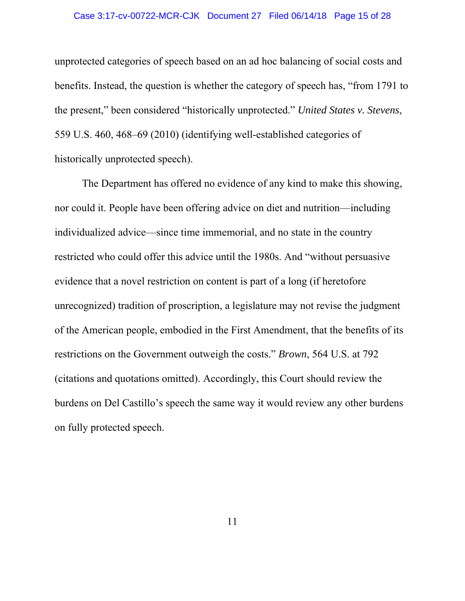#### Case 3:17-cv-00722-MCR-CJK Document 27 Filed 06/14/18 Page 15 of 28

unprotected categories of speech based on an ad hoc balancing of social costs and benefits. Instead, the question is whether the category of speech has, "from 1791 to the present," been considered "historically unprotected." *United States v. Stevens*, 559 U.S. 460, 468–69 (2010) (identifying well-established categories of historically unprotected speech).

The Department has offered no evidence of any kind to make this showing, nor could it. People have been offering advice on diet and nutrition—including individualized advice—since time immemorial, and no state in the country restricted who could offer this advice until the 1980s. And "without persuasive evidence that a novel restriction on content is part of a long (if heretofore unrecognized) tradition of proscription, a legislature may not revise the judgment of the American people, embodied in the First Amendment, that the benefits of its restrictions on the Government outweigh the costs." *Brown*, 564 U.S. at 792 (citations and quotations omitted). Accordingly, this Court should review the burdens on Del Castillo's speech the same way it would review any other burdens on fully protected speech.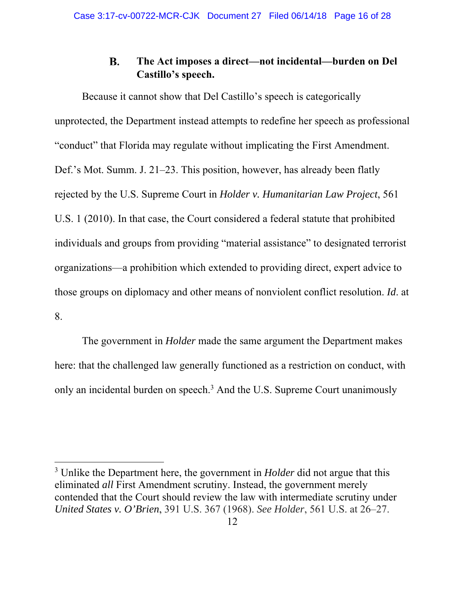#### **B. The Act imposes a direct—not incidental—burden on Del Castillo's speech.**

Because it cannot show that Del Castillo's speech is categorically unprotected, the Department instead attempts to redefine her speech as professional "conduct" that Florida may regulate without implicating the First Amendment. Def.'s Mot. Summ. J. 21–23. This position, however, has already been flatly rejected by the U.S. Supreme Court in *Holder v. Humanitarian Law Project*, 561 U.S. 1 (2010). In that case, the Court considered a federal statute that prohibited individuals and groups from providing "material assistance" to designated terrorist organizations—a prohibition which extended to providing direct, expert advice to those groups on diplomacy and other means of nonviolent conflict resolution. *Id*. at 8.

The government in *Holder* made the same argument the Department makes here: that the challenged law generally functioned as a restriction on conduct, with only an incidental burden on speech.<sup>3</sup> And the U.S. Supreme Court unanimously

<sup>3</sup> Unlike the Department here, the government in *Holder* did not argue that this eliminated *all* First Amendment scrutiny. Instead, the government merely contended that the Court should review the law with intermediate scrutiny under *United States v. O'Brien*, 391 U.S. 367 (1968). *See Holder*, 561 U.S. at 26–27.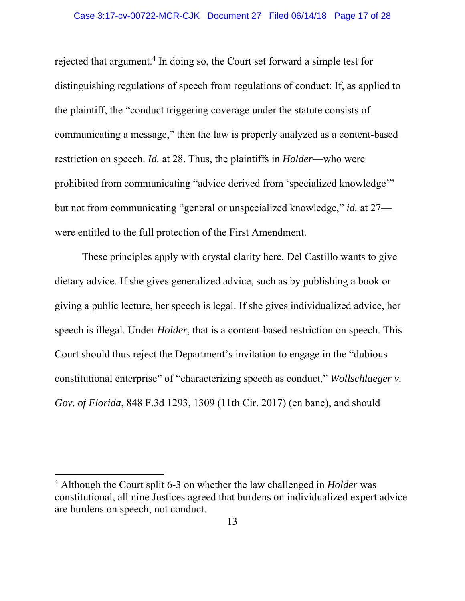rejected that argument.<sup>4</sup> In doing so, the Court set forward a simple test for distinguishing regulations of speech from regulations of conduct: If, as applied to the plaintiff, the "conduct triggering coverage under the statute consists of communicating a message," then the law is properly analyzed as a content-based restriction on speech. *Id.* at 28. Thus, the plaintiffs in *Holder*—who were prohibited from communicating "advice derived from 'specialized knowledge'" but not from communicating "general or unspecialized knowledge," *id.* at 27 were entitled to the full protection of the First Amendment.

These principles apply with crystal clarity here. Del Castillo wants to give dietary advice. If she gives generalized advice, such as by publishing a book or giving a public lecture, her speech is legal. If she gives individualized advice, her speech is illegal. Under *Holder*, that is a content-based restriction on speech. This Court should thus reject the Department's invitation to engage in the "dubious constitutional enterprise" of "characterizing speech as conduct," *Wollschlaeger v. Gov. of Florida*, 848 F.3d 1293, 1309 (11th Cir. 2017) (en banc), and should

<sup>4</sup> Although the Court split 6-3 on whether the law challenged in *Holder* was constitutional, all nine Justices agreed that burdens on individualized expert advice are burdens on speech, not conduct.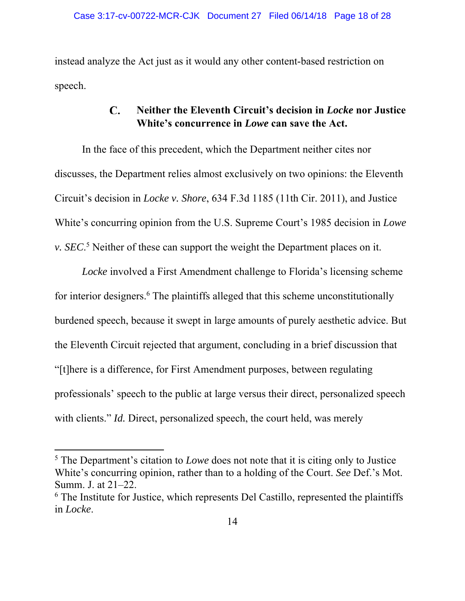instead analyze the Act just as it would any other content-based restriction on speech.

#### $\mathbf{C}$ . **Neither the Eleventh Circuit's decision in** *Locke* **nor Justice White's concurrence in** *Lowe* **can save the Act.**

In the face of this precedent, which the Department neither cites nor discusses, the Department relies almost exclusively on two opinions: the Eleventh Circuit's decision in *Locke v. Shore*, 634 F.3d 1185 (11th Cir. 2011), and Justice White's concurring opinion from the U.S. Supreme Court's 1985 decision in *Lowe v. SEC*<sup>5</sup> Neither of these can support the weight the Department places on it.

*Locke* involved a First Amendment challenge to Florida's licensing scheme for interior designers.<sup>6</sup> The plaintiffs alleged that this scheme unconstitutionally burdened speech, because it swept in large amounts of purely aesthetic advice. But the Eleventh Circuit rejected that argument, concluding in a brief discussion that "[t]here is a difference, for First Amendment purposes, between regulating professionals' speech to the public at large versus their direct, personalized speech with clients." *Id.* Direct, personalized speech, the court held, was merely

<sup>&</sup>lt;sup>5</sup> The Department's citation to *Lowe* does not note that it is citing only to Justice White's concurring opinion, rather than to a holding of the Court. *See* Def.'s Mot. Summ. J. at 21–22.

<sup>&</sup>lt;sup>6</sup> The Institute for Justice, which represents Del Castillo, represented the plaintiffs in *Locke*.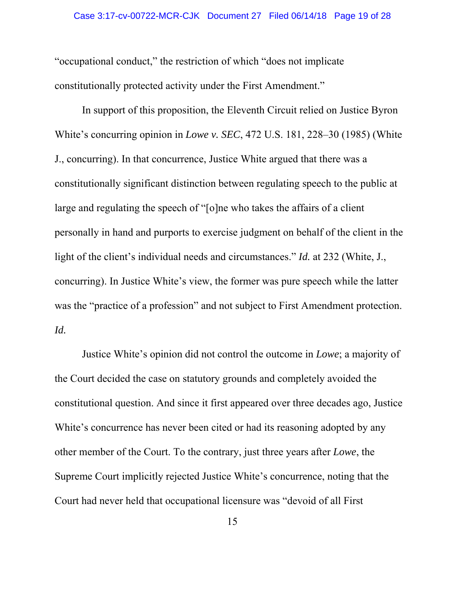"occupational conduct," the restriction of which "does not implicate constitutionally protected activity under the First Amendment."

In support of this proposition, the Eleventh Circuit relied on Justice Byron White's concurring opinion in *Lowe v. SEC*, 472 U.S. 181, 228–30 (1985) (White J., concurring). In that concurrence, Justice White argued that there was a constitutionally significant distinction between regulating speech to the public at large and regulating the speech of "[o]ne who takes the affairs of a client personally in hand and purports to exercise judgment on behalf of the client in the light of the client's individual needs and circumstances." *Id.* at 232 (White, J., concurring). In Justice White's view, the former was pure speech while the latter was the "practice of a profession" and not subject to First Amendment protection. *Id.*

Justice White's opinion did not control the outcome in *Lowe*; a majority of the Court decided the case on statutory grounds and completely avoided the constitutional question. And since it first appeared over three decades ago, Justice White's concurrence has never been cited or had its reasoning adopted by any other member of the Court. To the contrary, just three years after *Lowe*, the Supreme Court implicitly rejected Justice White's concurrence, noting that the Court had never held that occupational licensure was "devoid of all First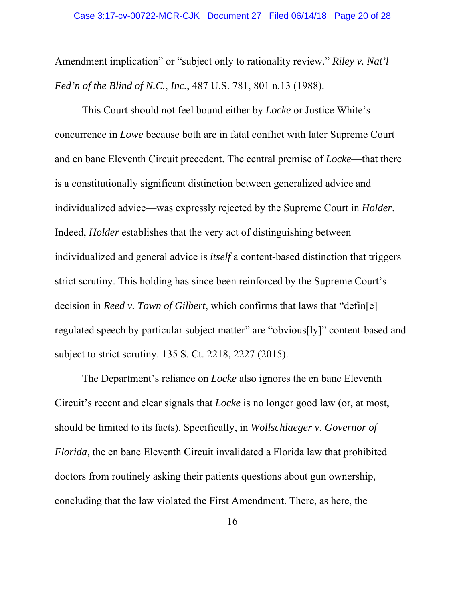Amendment implication" or "subject only to rationality review." *Riley v. Nat'l Fed'n of the Blind of N.C.*, *Inc.*, 487 U.S. 781, 801 n.13 (1988).

This Court should not feel bound either by *Locke* or Justice White's concurrence in *Lowe* because both are in fatal conflict with later Supreme Court and en banc Eleventh Circuit precedent. The central premise of *Locke*—that there is a constitutionally significant distinction between generalized advice and individualized advice—was expressly rejected by the Supreme Court in *Holder*. Indeed, *Holder* establishes that the very act of distinguishing between individualized and general advice is *itself* a content-based distinction that triggers strict scrutiny. This holding has since been reinforced by the Supreme Court's decision in *Reed v. Town of Gilbert*, which confirms that laws that "defin[e] regulated speech by particular subject matter" are "obvious[ly]" content-based and subject to strict scrutiny. 135 S. Ct. 2218, 2227 (2015).

The Department's reliance on *Locke* also ignores the en banc Eleventh Circuit's recent and clear signals that *Locke* is no longer good law (or, at most, should be limited to its facts). Specifically, in *Wollschlaeger v. Governor of Florida*, the en banc Eleventh Circuit invalidated a Florida law that prohibited doctors from routinely asking their patients questions about gun ownership, concluding that the law violated the First Amendment. There, as here, the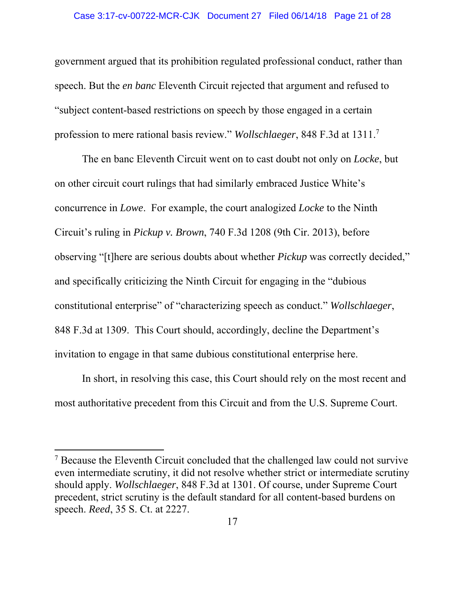government argued that its prohibition regulated professional conduct, rather than speech. But the *en banc* Eleventh Circuit rejected that argument and refused to "subject content-based restrictions on speech by those engaged in a certain profession to mere rational basis review." *Wollschlaeger*, 848 F.3d at 1311.7

The en banc Eleventh Circuit went on to cast doubt not only on *Locke*, but on other circuit court rulings that had similarly embraced Justice White's concurrence in *Lowe*. For example, the court analogized *Locke* to the Ninth Circuit's ruling in *Pickup v. Brown*, 740 F.3d 1208 (9th Cir. 2013), before observing "[t]here are serious doubts about whether *Pickup* was correctly decided," and specifically criticizing the Ninth Circuit for engaging in the "dubious constitutional enterprise" of "characterizing speech as conduct." *Wollschlaeger*, 848 F.3d at 1309. This Court should, accordingly, decline the Department's invitation to engage in that same dubious constitutional enterprise here.

In short, in resolving this case, this Court should rely on the most recent and most authoritative precedent from this Circuit and from the U.S. Supreme Court.

<sup>&</sup>lt;sup>7</sup> Because the Eleventh Circuit concluded that the challenged law could not survive even intermediate scrutiny, it did not resolve whether strict or intermediate scrutiny should apply. *Wollschlaeger*, 848 F.3d at 1301. Of course, under Supreme Court precedent, strict scrutiny is the default standard for all content-based burdens on speech. *Reed*, 35 S. Ct. at 2227.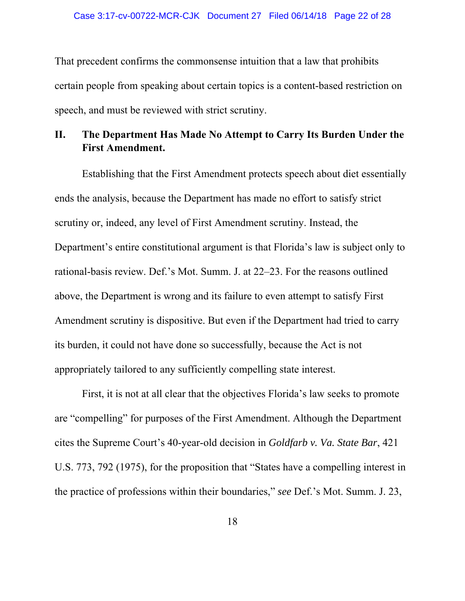That precedent confirms the commonsense intuition that a law that prohibits certain people from speaking about certain topics is a content-based restriction on speech, and must be reviewed with strict scrutiny.

# **II. The Department Has Made No Attempt to Carry Its Burden Under the First Amendment.**

Establishing that the First Amendment protects speech about diet essentially ends the analysis, because the Department has made no effort to satisfy strict scrutiny or, indeed, any level of First Amendment scrutiny. Instead, the Department's entire constitutional argument is that Florida's law is subject only to rational-basis review. Def.'s Mot. Summ. J. at 22–23. For the reasons outlined above, the Department is wrong and its failure to even attempt to satisfy First Amendment scrutiny is dispositive. But even if the Department had tried to carry its burden, it could not have done so successfully, because the Act is not appropriately tailored to any sufficiently compelling state interest.

First, it is not at all clear that the objectives Florida's law seeks to promote are "compelling" for purposes of the First Amendment. Although the Department cites the Supreme Court's 40-year-old decision in *Goldfarb v. Va. State Bar*, 421 U.S. 773, 792 (1975), for the proposition that "States have a compelling interest in the practice of professions within their boundaries," *see* Def.'s Mot. Summ. J. 23,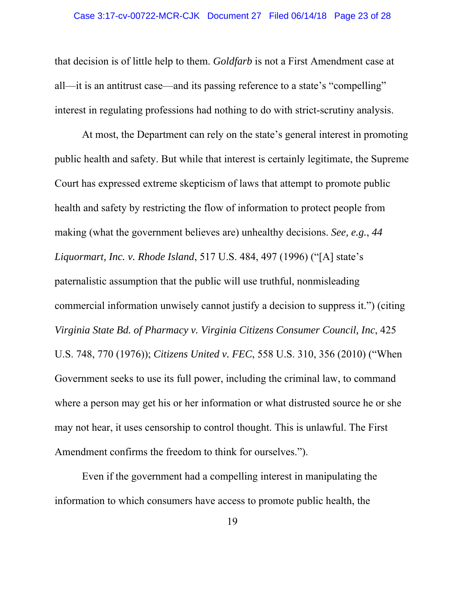that decision is of little help to them. *Goldfarb* is not a First Amendment case at all—it is an antitrust case—and its passing reference to a state's "compelling" interest in regulating professions had nothing to do with strict-scrutiny analysis.

At most, the Department can rely on the state's general interest in promoting public health and safety. But while that interest is certainly legitimate, the Supreme Court has expressed extreme skepticism of laws that attempt to promote public health and safety by restricting the flow of information to protect people from making (what the government believes are) unhealthy decisions. *See, e.g.*, *44 Liquormart, Inc. v. Rhode Island*, 517 U.S. 484, 497 (1996) ("[A] state's paternalistic assumption that the public will use truthful, nonmisleading commercial information unwisely cannot justify a decision to suppress it.") (citing *Virginia State Bd. of Pharmacy v. Virginia Citizens Consumer Council, Inc*, 425 U.S. 748, 770 (1976)); *Citizens United v. FEC*, 558 U.S. 310, 356 (2010) ("When Government seeks to use its full power, including the criminal law, to command where a person may get his or her information or what distrusted source he or she may not hear, it uses censorship to control thought. This is unlawful. The First Amendment confirms the freedom to think for ourselves.").

Even if the government had a compelling interest in manipulating the information to which consumers have access to promote public health, the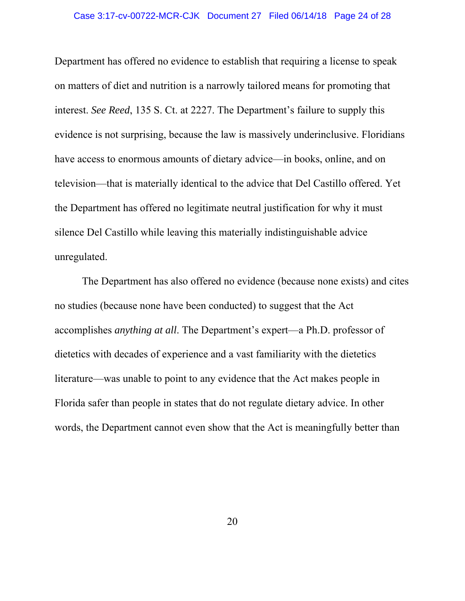Department has offered no evidence to establish that requiring a license to speak on matters of diet and nutrition is a narrowly tailored means for promoting that interest. *See Reed*, 135 S. Ct. at 2227. The Department's failure to supply this evidence is not surprising, because the law is massively underinclusive. Floridians have access to enormous amounts of dietary advice—in books, online, and on television—that is materially identical to the advice that Del Castillo offered. Yet the Department has offered no legitimate neutral justification for why it must silence Del Castillo while leaving this materially indistinguishable advice unregulated.

The Department has also offered no evidence (because none exists) and cites no studies (because none have been conducted) to suggest that the Act accomplishes *anything at all*. The Department's expert—a Ph.D. professor of dietetics with decades of experience and a vast familiarity with the dietetics literature—was unable to point to any evidence that the Act makes people in Florida safer than people in states that do not regulate dietary advice. In other words, the Department cannot even show that the Act is meaningfully better than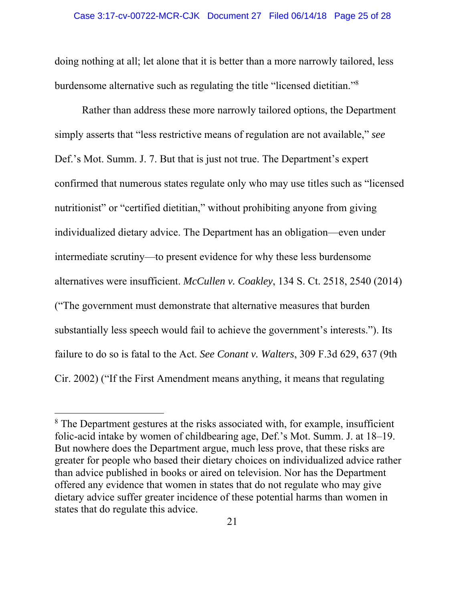doing nothing at all; let alone that it is better than a more narrowly tailored, less burdensome alternative such as regulating the title "licensed dietitian."<sup>8</sup>

Rather than address these more narrowly tailored options, the Department simply asserts that "less restrictive means of regulation are not available," *see* Def.'s Mot. Summ. J. 7. But that is just not true. The Department's expert confirmed that numerous states regulate only who may use titles such as "licensed nutritionist" or "certified dietitian," without prohibiting anyone from giving individualized dietary advice. The Department has an obligation—even under intermediate scrutiny—to present evidence for why these less burdensome alternatives were insufficient. *McCullen v. Coakley*, 134 S. Ct. 2518, 2540 (2014) ("The government must demonstrate that alternative measures that burden substantially less speech would fail to achieve the government's interests."). Its failure to do so is fatal to the Act. *See Conant v. Walters*, 309 F.3d 629, 637 (9th Cir. 2002) ("If the First Amendment means anything, it means that regulating

<sup>&</sup>lt;sup>8</sup> The Department gestures at the risks associated with, for example, insufficient folic-acid intake by women of childbearing age, Def.'s Mot. Summ. J. at 18–19. But nowhere does the Department argue, much less prove, that these risks are greater for people who based their dietary choices on individualized advice rather than advice published in books or aired on television. Nor has the Department offered any evidence that women in states that do not regulate who may give dietary advice suffer greater incidence of these potential harms than women in states that do regulate this advice.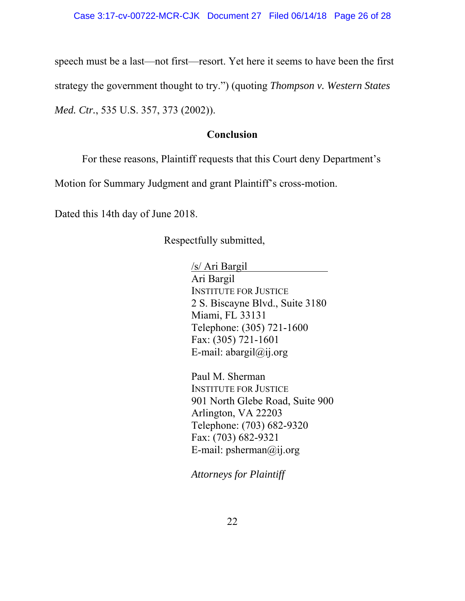speech must be a last—not first—resort. Yet here it seems to have been the first strategy the government thought to try.") (quoting *Thompson v. Western States Med. Ctr.*, 535 U.S. 357, 373 (2002)).

### **Conclusion**

For these reasons, Plaintiff requests that this Court deny Department's

Motion for Summary Judgment and grant Plaintiff's cross-motion.

Dated this 14th day of June 2018.

Respectfully submitted,

/s/ Ari Bargil Ari Bargil INSTITUTE FOR JUSTICE 2 S. Biscayne Blvd., Suite 3180 Miami, FL 33131 Telephone: (305) 721-1600 Fax: (305) 721-1601 E-mail: abargil@ij.org

Paul M. Sherman INSTITUTE FOR JUSTICE 901 North Glebe Road, Suite 900 Arlington, VA 22203 Telephone: (703) 682-9320 Fax: (703) 682-9321 E-mail: psherman@ij.org

*Attorneys for Plaintiff*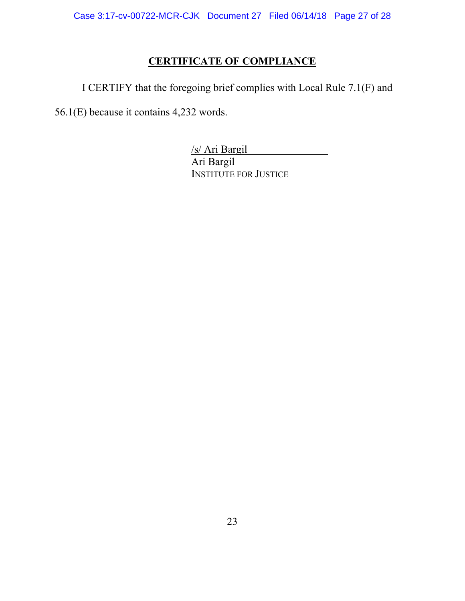# **CERTIFICATE OF COMPLIANCE**

I CERTIFY that the foregoing brief complies with Local Rule 7.1(F) and

56.1(E) because it contains 4,232 words.

/s/ Ari Bargil Ari Bargil INSTITUTE FOR JUSTICE